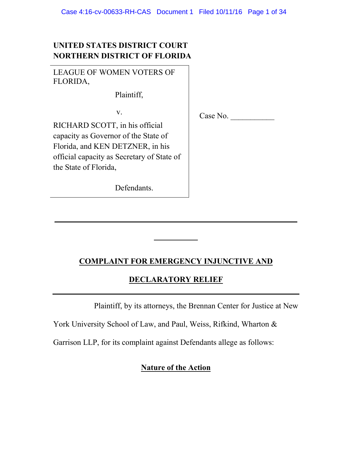# **UNITED STATES DISTRICT COURT NORTHERN DISTRICT OF FLORIDA**

LEAGUE OF WOMEN VOTERS OF FLORIDA,

Plaintiff,

v.

RICHARD SCOTT, in his official capacity as Governor of the State of Florida, and KEN DETZNER, in his official capacity as Secretary of State of the State of Florida,

Defendants.

Case No. \_\_\_\_\_\_\_\_\_\_\_

# **COMPLAINT FOR EMERGENCY INJUNCTIVE AND**

**\_\_\_\_\_\_\_\_\_\_\_\_\_\_\_\_\_\_\_\_\_\_\_\_\_\_\_\_\_\_\_\_\_\_\_\_\_\_\_\_\_\_\_\_\_\_\_\_\_\_\_\_\_\_\_\_\_\_\_\_\_**

**\_\_\_\_\_\_\_\_\_\_\_**

# **DECLARATORY RELIEF**

Plaintiff, by its attorneys, the Brennan Center for Justice at New

York University School of Law, and Paul, Weiss, Rifkind, Wharton &

Garrison LLP, for its complaint against Defendants allege as follows:

## **Nature of the Action**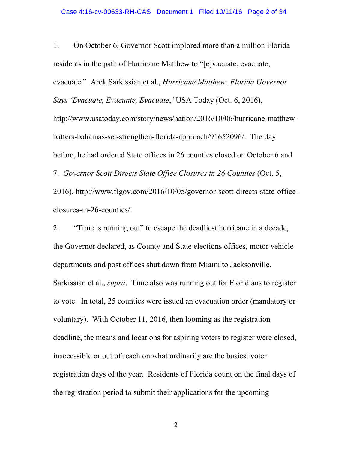1. On October 6, Governor Scott implored more than a million Florida residents in the path of Hurricane Matthew to "[e]vacuate, evacuate, evacuate." Arek Sarkissian et al., *Hurricane Matthew: Florida Governor Says 'Evacuate, Evacuate, Evacuate*,*'* USA Today (Oct. 6, 2016), http://www.usatoday.com/story/news/nation/2016/10/06/hurricane-matthewbatters-bahamas-set-strengthen-florida-approach/91652096/. The day before, he had ordered State offices in 26 counties closed on October 6 and 7. *Governor Scott Directs State Office Closures in 26 Counties* (Oct. 5, 2016), http://www.flgov.com/2016/10/05/governor-scott-directs-state-officeclosures-in-26-counties/.

2. "Time is running out" to escape the deadliest hurricane in a decade, the Governor declared, as County and State elections offices, motor vehicle departments and post offices shut down from Miami to Jacksonville. Sarkissian et al., *supra*. Time also was running out for Floridians to register to vote. In total, 25 counties were issued an evacuation order (mandatory or voluntary). With October 11, 2016, then looming as the registration deadline, the means and locations for aspiring voters to register were closed, inaccessible or out of reach on what ordinarily are the busiest voter registration days of the year. Residents of Florida count on the final days of the registration period to submit their applications for the upcoming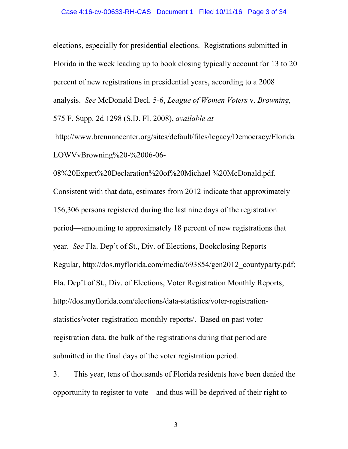elections, especially for presidential elections. Registrations submitted in Florida in the week leading up to book closing typically account for 13 to 20 percent of new registrations in presidential years, according to a 2008 analysis. *See* McDonald Decl. 5-6, *League of Women Voters* v. *Browning,* 575 F. Supp. 2d 1298 (S.D. Fl. 2008), *available at* 

http://www.brennancenter.org/sites/default/files/legacy/Democracy/Florida LOWVvBrowning%20-%2006-06-

08%20Expert%20Declaration%20of%20Michael %20McDonald.pdf*.*  Consistent with that data, estimates from 2012 indicate that approximately 156,306 persons registered during the last nine days of the registration period—amounting to approximately 18 percent of new registrations that year. *See* Fla. Dep't of St., Div. of Elections, Bookclosing Reports – Regular, http://dos.myflorida.com/media/693854/gen2012\_countyparty.pdf; Fla. Dep't of St., Div. of Elections, Voter Registration Monthly Reports, http://dos.myflorida.com/elections/data-statistics/voter-registrationstatistics/voter-registration-monthly-reports/. Based on past voter registration data, the bulk of the registrations during that period are submitted in the final days of the voter registration period.

3. This year, tens of thousands of Florida residents have been denied the opportunity to register to vote – and thus will be deprived of their right to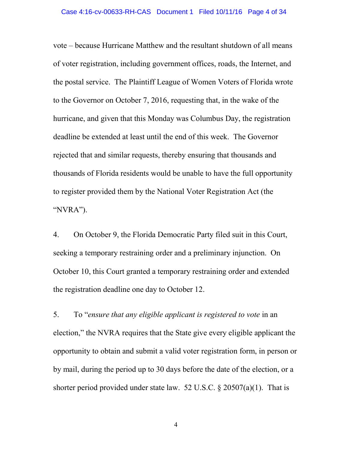vote – because Hurricane Matthew and the resultant shutdown of all means of voter registration, including government offices, roads, the Internet, and the postal service. The Plaintiff League of Women Voters of Florida wrote to the Governor on October 7, 2016, requesting that, in the wake of the hurricane, and given that this Monday was Columbus Day, the registration deadline be extended at least until the end of this week. The Governor rejected that and similar requests, thereby ensuring that thousands and thousands of Florida residents would be unable to have the full opportunity to register provided them by the National Voter Registration Act (the "NVRA").

4. On October 9, the Florida Democratic Party filed suit in this Court, seeking a temporary restraining order and a preliminary injunction. On October 10, this Court granted a temporary restraining order and extended the registration deadline one day to October 12.

5. To "*ensure that any eligible applicant is registered to vote* in an election," the NVRA requires that the State give every eligible applicant the opportunity to obtain and submit a valid voter registration form, in person or by mail, during the period up to 30 days before the date of the election, or a shorter period provided under state law. 52 U.S.C. § 20507(a)(1). That is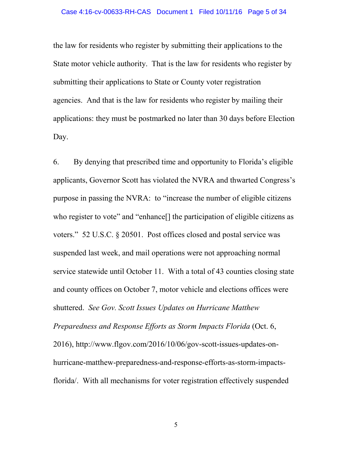the law for residents who register by submitting their applications to the State motor vehicle authority. That is the law for residents who register by submitting their applications to State or County voter registration agencies. And that is the law for residents who register by mailing their applications: they must be postmarked no later than 30 days before Election Day.

6. By denying that prescribed time and opportunity to Florida's eligible applicants, Governor Scott has violated the NVRA and thwarted Congress's purpose in passing the NVRA: to "increase the number of eligible citizens who register to vote" and "enhance<sup>[]</sup> the participation of eligible citizens as voters." 52 U.S.C. § 20501. Post offices closed and postal service was suspended last week, and mail operations were not approaching normal service statewide until October 11. With a total of 43 counties closing state and county offices on October 7, motor vehicle and elections offices were shuttered. *See Gov. Scott Issues Updates on Hurricane Matthew Preparedness and Response Efforts as Storm Impacts Florida* (Oct. 6, 2016), http://www.flgov.com/2016/10/06/gov-scott-issues-updates-onhurricane-matthew-preparedness-and-response-efforts-as-storm-impactsflorida/. With all mechanisms for voter registration effectively suspended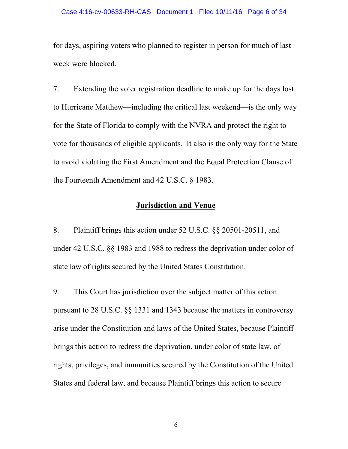for days, aspiring voters who planned to register in person for much of last week were blocked.

7. Extending the voter registration deadline to make up for the days lost to Hurricane Matthew—including the critical last weekend—is the only way for the State of Florida to comply with the NVRA and protect the right to vote for thousands of eligible applicants. It also is the only way for the State to avoid violating the First Amendment and the Equal Protection Clause of the Fourteenth Amendment and 42 U.S.C. § 1983.

#### **Jurisdiction and Venue**

8. Plaintiff brings this action under 52 U.S.C. §§ 20501-20511, and under 42 U.S.C. §§ 1983 and 1988 to redress the deprivation under color of state law of rights secured by the United States Constitution.

9. This Court has jurisdiction over the subject matter of this action pursuant to 28 U.S.C. §§ 1331 and 1343 because the matters in controversy arise under the Constitution and laws of the United States, because Plaintiff brings this action to redress the deprivation, under color of state law, of rights, privileges, and immunities secured by the Constitution of the United States and federal law, and because Plaintiff brings this action to secure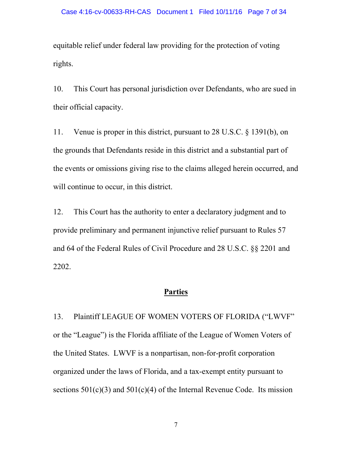equitable relief under federal law providing for the protection of voting rights.

10. This Court has personal jurisdiction over Defendants, who are sued in their official capacity.

11. Venue is proper in this district, pursuant to 28 U.S.C. § 1391(b), on the grounds that Defendants reside in this district and a substantial part of the events or omissions giving rise to the claims alleged herein occurred, and will continue to occur, in this district.

12. This Court has the authority to enter a declaratory judgment and to provide preliminary and permanent injunctive relief pursuant to Rules 57 and 64 of the Federal Rules of Civil Procedure and 28 U.S.C. §§ 2201 and 2202.

## **Parties**

13. Plaintiff LEAGUE OF WOMEN VOTERS OF FLORIDA ("LWVF" or the "League") is the Florida affiliate of the League of Women Voters of the United States. LWVF is a nonpartisan, non-for-profit corporation organized under the laws of Florida, and a tax-exempt entity pursuant to sections  $501(c)(3)$  and  $501(c)(4)$  of the Internal Revenue Code. Its mission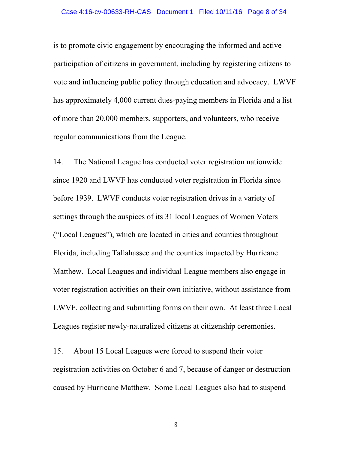is to promote civic engagement by encouraging the informed and active participation of citizens in government, including by registering citizens to vote and influencing public policy through education and advocacy. LWVF has approximately 4,000 current dues-paying members in Florida and a list of more than 20,000 members, supporters, and volunteers, who receive regular communications from the League.

14. The National League has conducted voter registration nationwide since 1920 and LWVF has conducted voter registration in Florida since before 1939. LWVF conducts voter registration drives in a variety of settings through the auspices of its 31 local Leagues of Women Voters ("Local Leagues"), which are located in cities and counties throughout Florida, including Tallahassee and the counties impacted by Hurricane Matthew. Local Leagues and individual League members also engage in voter registration activities on their own initiative, without assistance from LWVF, collecting and submitting forms on their own. At least three Local Leagues register newly-naturalized citizens at citizenship ceremonies.

15. About 15 Local Leagues were forced to suspend their voter registration activities on October 6 and 7, because of danger or destruction caused by Hurricane Matthew. Some Local Leagues also had to suspend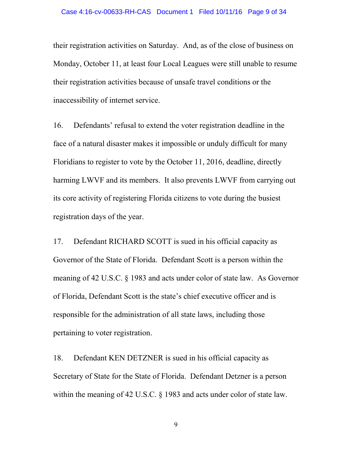their registration activities on Saturday. And, as of the close of business on Monday, October 11, at least four Local Leagues were still unable to resume their registration activities because of unsafe travel conditions or the inaccessibility of internet service.

16. Defendants' refusal to extend the voter registration deadline in the face of a natural disaster makes it impossible or unduly difficult for many Floridians to register to vote by the October 11, 2016, deadline, directly harming LWVF and its members. It also prevents LWVF from carrying out its core activity of registering Florida citizens to vote during the busiest registration days of the year.

17. Defendant RICHARD SCOTT is sued in his official capacity as Governor of the State of Florida. Defendant Scott is a person within the meaning of 42 U.S.C. § 1983 and acts under color of state law. As Governor of Florida, Defendant Scott is the state's chief executive officer and is responsible for the administration of all state laws, including those pertaining to voter registration.

18. Defendant KEN DETZNER is sued in his official capacity as Secretary of State for the State of Florida. Defendant Detzner is a person within the meaning of 42 U.S.C. § 1983 and acts under color of state law.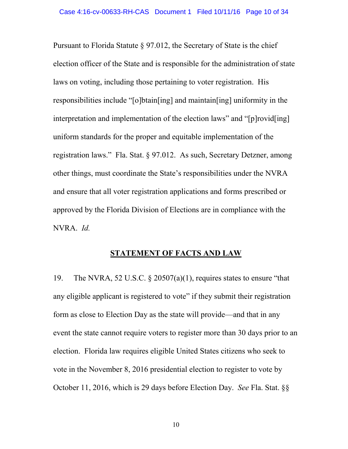Pursuant to Florida Statute § 97.012, the Secretary of State is the chief election officer of the State and is responsible for the administration of state laws on voting, including those pertaining to voter registration. His responsibilities include "[o]btain[ing] and maintain[ing] uniformity in the interpretation and implementation of the election laws" and "[p]rovid[ing] uniform standards for the proper and equitable implementation of the registration laws." Fla. Stat. § 97.012. As such, Secretary Detzner, among other things, must coordinate the State's responsibilities under the NVRA and ensure that all voter registration applications and forms prescribed or approved by the Florida Division of Elections are in compliance with the NVRA. *Id.*

#### **STATEMENT OF FACTS AND LAW**

19. The NVRA, 52 U.S.C. § 20507(a)(1), requires states to ensure "that any eligible applicant is registered to vote" if they submit their registration form as close to Election Day as the state will provide—and that in any event the state cannot require voters to register more than 30 days prior to an election. Florida law requires eligible United States citizens who seek to vote in the November 8, 2016 presidential election to register to vote by October 11, 2016, which is 29 days before Election Day. *See* Fla. Stat. §§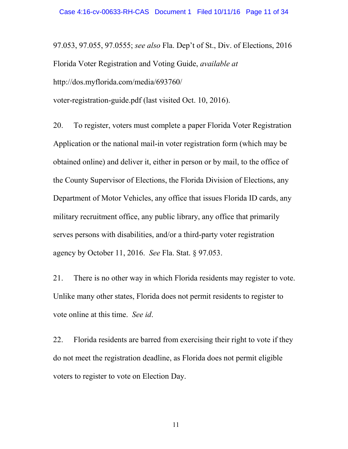97.053, 97.055, 97.0555; *see also* Fla. Dep't of St., Div. of Elections, 2016 Florida Voter Registration and Voting Guide, *available at* http://dos.myflorida.com/media/693760/ voter-registration-guide.pdf (last visited Oct. 10, 2016).

20. To register, voters must complete a paper Florida Voter Registration Application or the national mail-in voter registration form (which may be obtained online) and deliver it, either in person or by mail, to the office of the County Supervisor of Elections, the Florida Division of Elections, any Department of Motor Vehicles, any office that issues Florida ID cards, any military recruitment office, any public library, any office that primarily serves persons with disabilities, and/or a third-party voter registration agency by October 11, 2016. *See* Fla. Stat. § 97.053.

21. There is no other way in which Florida residents may register to vote. Unlike many other states, Florida does not permit residents to register to vote online at this time. *See id*.

22. Florida residents are barred from exercising their right to vote if they do not meet the registration deadline, as Florida does not permit eligible voters to register to vote on Election Day.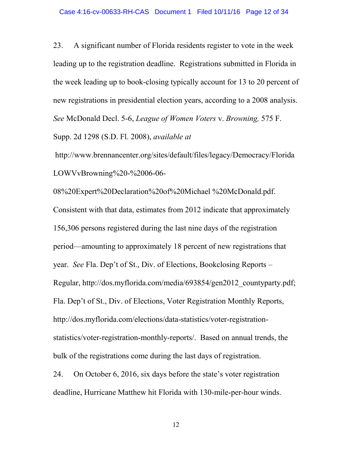23. A significant number of Florida residents register to vote in the week leading up to the registration deadline. Registrations submitted in Florida in the week leading up to book-closing typically account for 13 to 20 percent of new registrations in presidential election years, according to a 2008 analysis. *See* McDonald Decl. 5-6, *League of Women Voters* v. *Browning,* 575 F. Supp. 2d 1298 (S.D. Fl. 2008), *available at* 

http://www.brennancenter.org/sites/default/files/legacy/Democracy/Florida LOWVvBrowning%20-%2006-06-

08%20Expert%20Declaration%20of%20Michael %20McDonald.pdf. Consistent with that data, estimates from 2012 indicate that approximately 156,306 persons registered during the last nine days of the registration period—amounting to approximately 18 percent of new registrations that year. *See* Fla. Dep't of St., Div. of Elections, Bookclosing Reports – Regular, http://dos.myflorida.com/media/693854/gen2012\_countyparty.pdf; Fla. Dep't of St., Div. of Elections, Voter Registration Monthly Reports, http://dos.myflorida.com/elections/data-statistics/voter-registrationstatistics/voter-registration-monthly-reports/. Based on annual trends, the bulk of the registrations come during the last days of registration.

24. On October 6, 2016, six days before the state's voter registration deadline, Hurricane Matthew hit Florida with 130-mile-per-hour winds.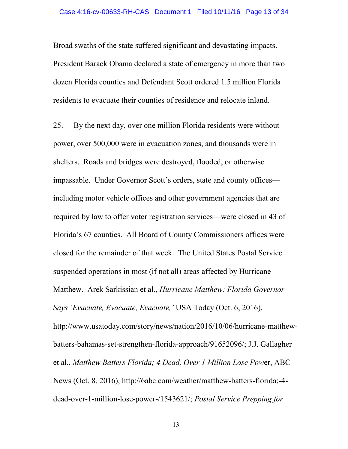Broad swaths of the state suffered significant and devastating impacts. President Barack Obama declared a state of emergency in more than two dozen Florida counties and Defendant Scott ordered 1.5 million Florida residents to evacuate their counties of residence and relocate inland.

25. By the next day, over one million Florida residents were without power, over 500,000 were in evacuation zones, and thousands were in shelters. Roads and bridges were destroyed, flooded, or otherwise impassable. Under Governor Scott's orders, state and county offices including motor vehicle offices and other government agencies that are required by law to offer voter registration services—were closed in 43 of Florida's 67 counties. All Board of County Commissioners offices were closed for the remainder of that week. The United States Postal Service suspended operations in most (if not all) areas affected by Hurricane Matthew. Arek Sarkissian et al., *Hurricane Matthew: Florida Governor Says 'Evacuate, Evacuate, Evacuate,'* USA Today (Oct. 6, 2016), http://www.usatoday.com/story/news/nation/2016/10/06/hurricane-matthewbatters-bahamas-set-strengthen-florida-approach/91652096/; J.J. Gallagher et al., *Matthew Batters Florida; 4 Dead, Over 1 Million Lose Pow*er, ABC News (Oct. 8, 2016), http://6abc.com/weather/matthew-batters-florida;-4 dead-over-1-million-lose-power-/1543621/; *Postal Service Prepping for*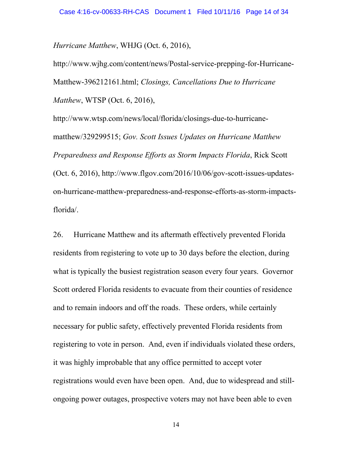*Hurricane Matthew*, WHJG (Oct. 6, 2016),

http://www.wjhg.com/content/news/Postal-service-prepping-for-Hurricane-Matthew-396212161.html; *Closings, Cancellations Due to Hurricane Matthew*, WTSP (Oct. 6, 2016),

http://www.wtsp.com/news/local/florida/closings-due-to-hurricanematthew/329299515; *Gov. Scott Issues Updates on Hurricane Matthew Preparedness and Response Efforts as Storm Impacts Florida*, Rick Scott (Oct. 6, 2016), http://www.flgov.com/2016/10/06/gov-scott-issues-updateson-hurricane-matthew-preparedness-and-response-efforts-as-storm-impactsflorida/.

26. Hurricane Matthew and its aftermath effectively prevented Florida residents from registering to vote up to 30 days before the election, during what is typically the busiest registration season every four years. Governor Scott ordered Florida residents to evacuate from their counties of residence and to remain indoors and off the roads. These orders, while certainly necessary for public safety, effectively prevented Florida residents from registering to vote in person. And, even if individuals violated these orders, it was highly improbable that any office permitted to accept voter registrations would even have been open. And, due to widespread and stillongoing power outages, prospective voters may not have been able to even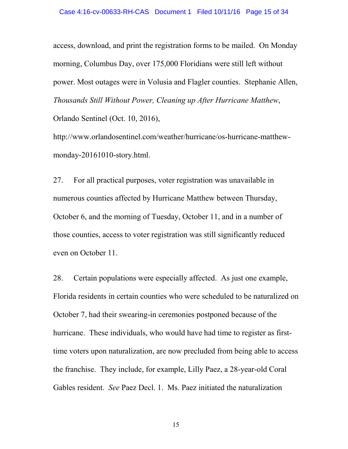access, download, and print the registration forms to be mailed. On Monday morning, Columbus Day, over 175,000 Floridians were still left without power. Most outages were in Volusia and Flagler counties. Stephanie Allen, *Thousands Still Without Power, Cleaning up After Hurricane Matthew*, Orlando Sentinel (Oct. 10, 2016),

http://www.orlandosentinel.com/weather/hurricane/os-hurricane-matthewmonday-20161010-story.html.

27. For all practical purposes, voter registration was unavailable in numerous counties affected by Hurricane Matthew between Thursday, October 6, and the morning of Tuesday, October 11, and in a number of those counties, access to voter registration was still significantly reduced even on October 11.

28. Certain populations were especially affected. As just one example, Florida residents in certain counties who were scheduled to be naturalized on October 7, had their swearing-in ceremonies postponed because of the hurricane. These individuals, who would have had time to register as firsttime voters upon naturalization, are now precluded from being able to access the franchise. They include, for example, Lilly Paez, a 28-year-old Coral Gables resident. *See* Paez Decl. 1. Ms. Paez initiated the naturalization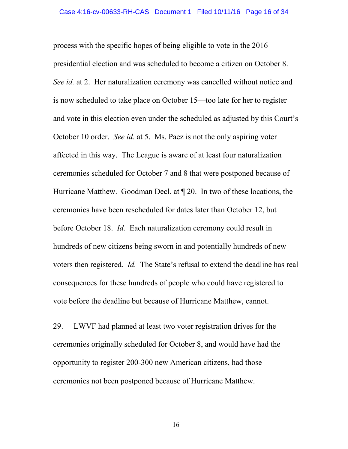process with the specific hopes of being eligible to vote in the 2016 presidential election and was scheduled to become a citizen on October 8. *See id.* at 2. Her naturalization ceremony was cancelled without notice and is now scheduled to take place on October 15—too late for her to register and vote in this election even under the scheduled as adjusted by this Court's October 10 order. *See id.* at 5. Ms. Paez is not the only aspiring voter affected in this way. The League is aware of at least four naturalization ceremonies scheduled for October 7 and 8 that were postponed because of Hurricane Matthew. Goodman Decl. at ¶ 20. In two of these locations, the ceremonies have been rescheduled for dates later than October 12, but before October 18. *Id.* Each naturalization ceremony could result in hundreds of new citizens being sworn in and potentially hundreds of new voters then registered. *Id.* The State's refusal to extend the deadline has real consequences for these hundreds of people who could have registered to vote before the deadline but because of Hurricane Matthew, cannot.

29. LWVF had planned at least two voter registration drives for the ceremonies originally scheduled for October 8, and would have had the opportunity to register 200-300 new American citizens, had those ceremonies not been postponed because of Hurricane Matthew.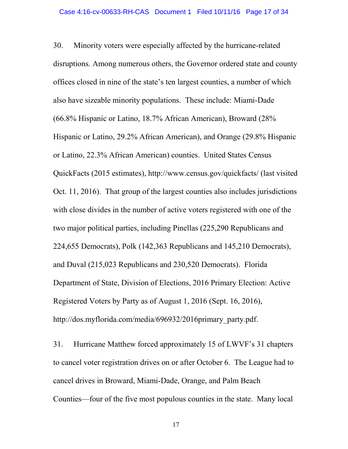30. Minority voters were especially affected by the hurricane-related disruptions. Among numerous others, the Governor ordered state and county offices closed in nine of the state's ten largest counties, a number of which also have sizeable minority populations. These include: Miami-Dade (66.8% Hispanic or Latino, 18.7% African American), Broward (28% Hispanic or Latino, 29.2% African American), and Orange (29.8% Hispanic or Latino, 22.3% African American) counties. United States Census QuickFacts (2015 estimates), http://www.census.gov/quickfacts/ (last visited Oct. 11, 2016). That group of the largest counties also includes jurisdictions with close divides in the number of active voters registered with one of the two major political parties, including Pinellas (225,290 Republicans and 224,655 Democrats), Polk (142,363 Republicans and 145,210 Democrats), and Duval (215,023 Republicans and 230,520 Democrats). Florida Department of State, Division of Elections, 2016 Primary Election: Active Registered Voters by Party as of August 1, 2016 (Sept. 16, 2016), http://dos.myflorida.com/media/696932/2016primary\_party.pdf.

31. Hurricane Matthew forced approximately 15 of LWVF's 31 chapters to cancel voter registration drives on or after October 6. The League had to cancel drives in Broward, Miami-Dade, Orange, and Palm Beach Counties—four of the five most populous counties in the state. Many local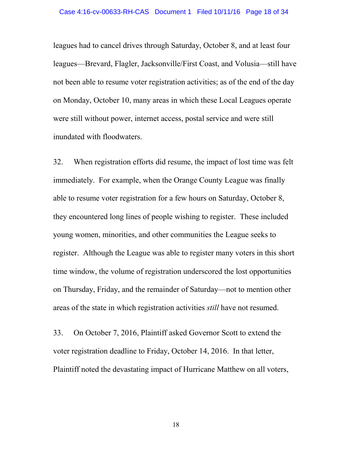leagues had to cancel drives through Saturday, October 8, and at least four leagues—Brevard, Flagler, Jacksonville/First Coast, and Volusia—still have not been able to resume voter registration activities; as of the end of the day on Monday, October 10, many areas in which these Local Leagues operate were still without power, internet access, postal service and were still inundated with floodwaters.

32. When registration efforts did resume, the impact of lost time was felt immediately. For example, when the Orange County League was finally able to resume voter registration for a few hours on Saturday, October 8, they encountered long lines of people wishing to register. These included young women, minorities, and other communities the League seeks to register. Although the League was able to register many voters in this short time window, the volume of registration underscored the lost opportunities on Thursday, Friday, and the remainder of Saturday—not to mention other areas of the state in which registration activities *still* have not resumed.

33. On October 7, 2016, Plaintiff asked Governor Scott to extend the voter registration deadline to Friday, October 14, 2016. In that letter, Plaintiff noted the devastating impact of Hurricane Matthew on all voters,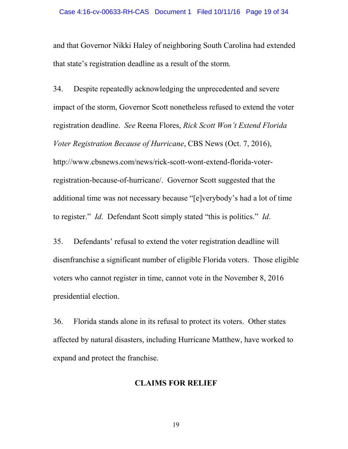and that Governor Nikki Haley of neighboring South Carolina had extended that state's registration deadline as a result of the storm.

34. Despite repeatedly acknowledging the unprecedented and severe impact of the storm, Governor Scott nonetheless refused to extend the voter registration deadline. *See* Reena Flores, *Rick Scott Won't Extend Florida Voter Registration Because of Hurricane*, CBS News (Oct. 7, 2016), http://www.cbsnews.com/news/rick-scott-wont-extend-florida-voterregistration-because-of-hurricane/. Governor Scott suggested that the additional time was not necessary because "[e]verybody's had a lot of time to register." *Id*. Defendant Scott simply stated "this is politics." *Id*.

35. Defendants' refusal to extend the voter registration deadline will disenfranchise a significant number of eligible Florida voters. Those eligible voters who cannot register in time, cannot vote in the November 8, 2016 presidential election.

36. Florida stands alone in its refusal to protect its voters. Other states affected by natural disasters, including Hurricane Matthew, have worked to expand and protect the franchise.

#### **CLAIMS FOR RELIEF**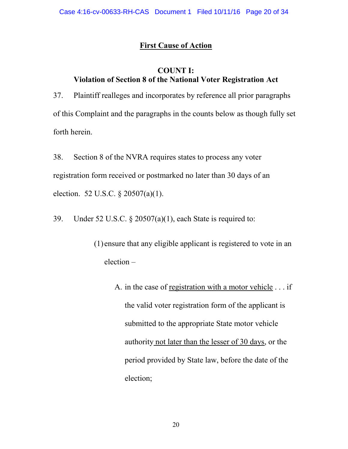# **First Cause of Action**

## **COUNT I: Violation of Section 8 of the National Voter Registration Act**

37. Plaintiff realleges and incorporates by reference all prior paragraphs of this Complaint and the paragraphs in the counts below as though fully set forth herein.

38. Section 8 of the NVRA requires states to process any voter registration form received or postmarked no later than 30 days of an election. 52 U.S.C. § 20507(a)(1).

39. Under 52 U.S.C. § 20507(a)(1), each State is required to:

(1) ensure that any eligible applicant is registered to vote in an election –

> A. in the case of registration with a motor vehicle . . . if the valid voter registration form of the applicant is submitted to the appropriate State motor vehicle authority not later than the lesser of 30 days, or the period provided by State law, before the date of the election;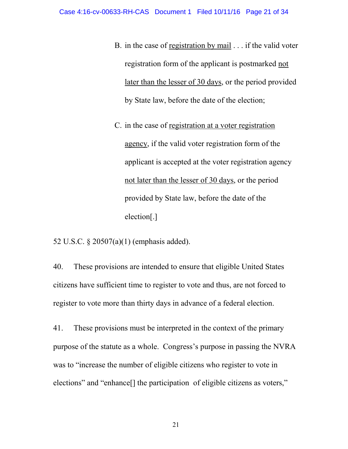- B. in the case of registration by mail . . . if the valid voter registration form of the applicant is postmarked not later than the lesser of 30 days, or the period provided by State law, before the date of the election;
- C. in the case of registration at a voter registration agency, if the valid voter registration form of the applicant is accepted at the voter registration agency not later than the lesser of 30 days, or the period provided by State law, before the date of the election[.]

52 U.S.C. § 20507(a)(1) (emphasis added).

40. These provisions are intended to ensure that eligible United States citizens have sufficient time to register to vote and thus, are not forced to register to vote more than thirty days in advance of a federal election.

41. These provisions must be interpreted in the context of the primary purpose of the statute as a whole. Congress's purpose in passing the NVRA was to "increase the number of eligible citizens who register to vote in elections" and "enhance<sup>[]</sup> the participation of eligible citizens as voters,"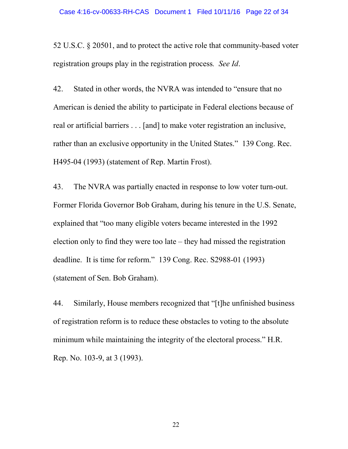52 U.S.C. § 20501, and to protect the active role that community-based voter registration groups play in the registration process*. See Id*.

42. Stated in other words, the NVRA was intended to "ensure that no American is denied the ability to participate in Federal elections because of real or artificial barriers . . . [and] to make voter registration an inclusive, rather than an exclusive opportunity in the United States." 139 Cong. Rec. H495-04 (1993) (statement of Rep. Martin Frost).

43. The NVRA was partially enacted in response to low voter turn-out. Former Florida Governor Bob Graham, during his tenure in the U.S. Senate, explained that "too many eligible voters became interested in the 1992 election only to find they were too late – they had missed the registration deadline. It is time for reform." 139 Cong. Rec. S2988-01 (1993) (statement of Sen. Bob Graham).

44. Similarly, House members recognized that "[t]he unfinished business of registration reform is to reduce these obstacles to voting to the absolute minimum while maintaining the integrity of the electoral process." H.R. Rep. No. 103-9, at 3 (1993).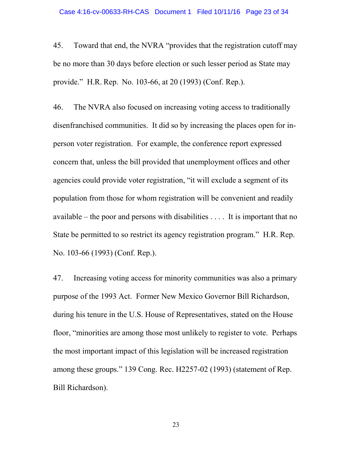45. Toward that end, the NVRA "provides that the registration cutoff may be no more than 30 days before election or such lesser period as State may provide." H.R. Rep. No. 103-66, at 20 (1993) (Conf. Rep.).

46. The NVRA also focused on increasing voting access to traditionally disenfranchised communities. It did so by increasing the places open for inperson voter registration. For example, the conference report expressed concern that, unless the bill provided that unemployment offices and other agencies could provide voter registration, "it will exclude a segment of its population from those for whom registration will be convenient and readily available – the poor and persons with disabilities  $\dots$ . It is important that no State be permitted to so restrict its agency registration program." H.R. Rep. No. 103-66 (1993) (Conf. Rep.).

47. Increasing voting access for minority communities was also a primary purpose of the 1993 Act. Former New Mexico Governor Bill Richardson, during his tenure in the U.S. House of Representatives, stated on the House floor, "minorities are among those most unlikely to register to vote. Perhaps the most important impact of this legislation will be increased registration among these groups." 139 Cong. Rec. H2257-02 (1993) (statement of Rep. Bill Richardson).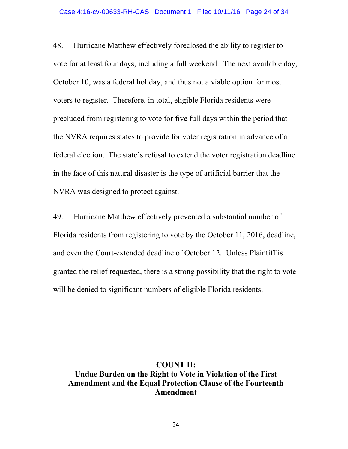48. Hurricane Matthew effectively foreclosed the ability to register to vote for at least four days, including a full weekend. The next available day, October 10, was a federal holiday, and thus not a viable option for most voters to register. Therefore, in total, eligible Florida residents were precluded from registering to vote for five full days within the period that the NVRA requires states to provide for voter registration in advance of a federal election. The state's refusal to extend the voter registration deadline in the face of this natural disaster is the type of artificial barrier that the NVRA was designed to protect against.

49. Hurricane Matthew effectively prevented a substantial number of Florida residents from registering to vote by the October 11, 2016, deadline, and even the Court-extended deadline of October 12. Unless Plaintiff is granted the relief requested, there is a strong possibility that the right to vote will be denied to significant numbers of eligible Florida residents.

# **COUNT II:**

## **Undue Burden on the Right to Vote in Violation of the First Amendment and the Equal Protection Clause of the Fourteenth Amendment**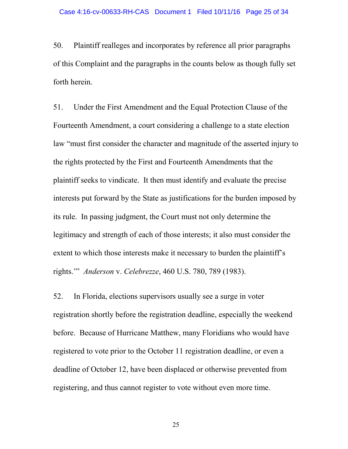50. Plaintiff realleges and incorporates by reference all prior paragraphs of this Complaint and the paragraphs in the counts below as though fully set forth herein.

51. Under the First Amendment and the Equal Protection Clause of the Fourteenth Amendment, a court considering a challenge to a state election law "must first consider the character and magnitude of the asserted injury to the rights protected by the First and Fourteenth Amendments that the plaintiff seeks to vindicate. It then must identify and evaluate the precise interests put forward by the State as justifications for the burden imposed by its rule. In passing judgment, the Court must not only determine the legitimacy and strength of each of those interests; it also must consider the extent to which those interests make it necessary to burden the plaintiff's rights.'" *Anderson* v. *Celebrezze*, 460 U.S. 780, 789 (1983).

52. In Florida, elections supervisors usually see a surge in voter registration shortly before the registration deadline, especially the weekend before. Because of Hurricane Matthew, many Floridians who would have registered to vote prior to the October 11 registration deadline, or even a deadline of October 12, have been displaced or otherwise prevented from registering, and thus cannot register to vote without even more time.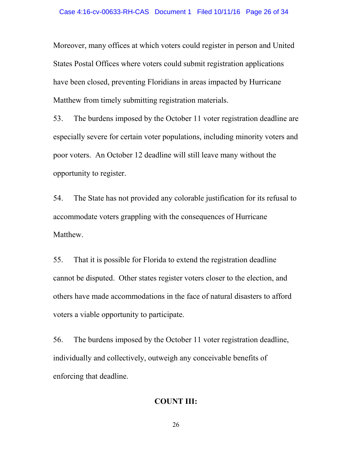Moreover, many offices at which voters could register in person and United States Postal Offices where voters could submit registration applications have been closed, preventing Floridians in areas impacted by Hurricane Matthew from timely submitting registration materials.

53. The burdens imposed by the October 11 voter registration deadline are especially severe for certain voter populations, including minority voters and poor voters. An October 12 deadline will still leave many without the opportunity to register.

54. The State has not provided any colorable justification for its refusal to accommodate voters grappling with the consequences of Hurricane Matthew.

55. That it is possible for Florida to extend the registration deadline cannot be disputed. Other states register voters closer to the election, and others have made accommodations in the face of natural disasters to afford voters a viable opportunity to participate.

56. The burdens imposed by the October 11 voter registration deadline, individually and collectively, outweigh any conceivable benefits of enforcing that deadline.

#### **COUNT III:**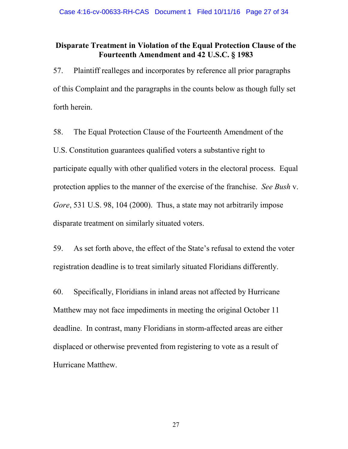## **Disparate Treatment in Violation of the Equal Protection Clause of the Fourteenth Amendment and 42 U.S.C. § 1983**

57. Plaintiff realleges and incorporates by reference all prior paragraphs of this Complaint and the paragraphs in the counts below as though fully set forth herein.

58. The Equal Protection Clause of the Fourteenth Amendment of the U.S. Constitution guarantees qualified voters a substantive right to participate equally with other qualified voters in the electoral process. Equal protection applies to the manner of the exercise of the franchise. *See Bush* v. *Gore*, 531 U.S. 98, 104 (2000). Thus, a state may not arbitrarily impose disparate treatment on similarly situated voters.

59. As set forth above, the effect of the State's refusal to extend the voter registration deadline is to treat similarly situated Floridians differently.

60. Specifically, Floridians in inland areas not affected by Hurricane Matthew may not face impediments in meeting the original October 11 deadline. In contrast, many Floridians in storm-affected areas are either displaced or otherwise prevented from registering to vote as a result of Hurricane Matthew.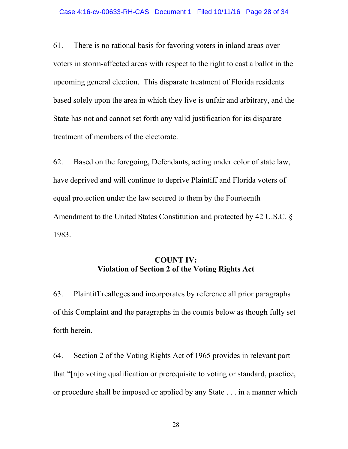61. There is no rational basis for favoring voters in inland areas over voters in storm-affected areas with respect to the right to cast a ballot in the upcoming general election. This disparate treatment of Florida residents based solely upon the area in which they live is unfair and arbitrary, and the State has not and cannot set forth any valid justification for its disparate treatment of members of the electorate.

62. Based on the foregoing, Defendants, acting under color of state law, have deprived and will continue to deprive Plaintiff and Florida voters of equal protection under the law secured to them by the Fourteenth Amendment to the United States Constitution and protected by 42 U.S.C. § 1983.

# **COUNT IV: Violation of Section 2 of the Voting Rights Act**

63. Plaintiff realleges and incorporates by reference all prior paragraphs of this Complaint and the paragraphs in the counts below as though fully set forth herein.

64. Section 2 of the Voting Rights Act of 1965 provides in relevant part that "[n]o voting qualification or prerequisite to voting or standard, practice, or procedure shall be imposed or applied by any State . . . in a manner which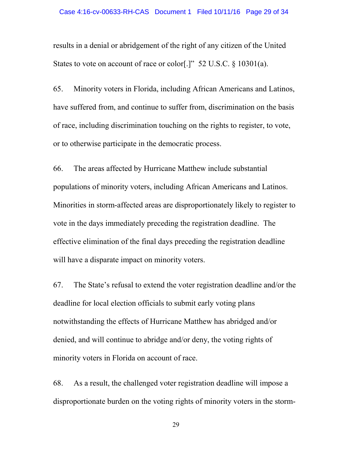#### Case 4:16-cv-00633-RH-CAS Document 1 Filed 10/11/16 Page 29 of 34

results in a denial or abridgement of the right of any citizen of the United States to vote on account of race or color[.]" 52 U.S.C. § 10301(a).

65. Minority voters in Florida, including African Americans and Latinos, have suffered from, and continue to suffer from, discrimination on the basis of race, including discrimination touching on the rights to register, to vote, or to otherwise participate in the democratic process.

66. The areas affected by Hurricane Matthew include substantial populations of minority voters, including African Americans and Latinos. Minorities in storm-affected areas are disproportionately likely to register to vote in the days immediately preceding the registration deadline. The effective elimination of the final days preceding the registration deadline will have a disparate impact on minority voters.

67. The State's refusal to extend the voter registration deadline and/or the deadline for local election officials to submit early voting plans notwithstanding the effects of Hurricane Matthew has abridged and/or denied, and will continue to abridge and/or deny, the voting rights of minority voters in Florida on account of race.

68. As a result, the challenged voter registration deadline will impose a disproportionate burden on the voting rights of minority voters in the storm-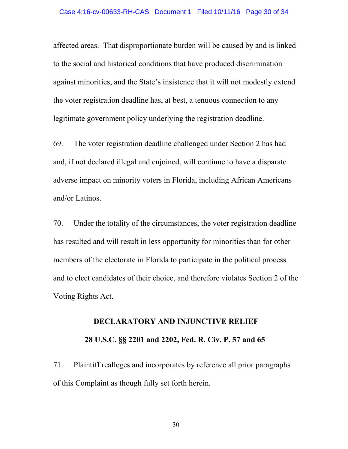affected areas. That disproportionate burden will be caused by and is linked to the social and historical conditions that have produced discrimination against minorities, and the State's insistence that it will not modestly extend the voter registration deadline has, at best, a tenuous connection to any legitimate government policy underlying the registration deadline.

69. The voter registration deadline challenged under Section 2 has had and, if not declared illegal and enjoined, will continue to have a disparate adverse impact on minority voters in Florida, including African Americans and/or Latinos.

70. Under the totality of the circumstances, the voter registration deadline has resulted and will result in less opportunity for minorities than for other members of the electorate in Florida to participate in the political process and to elect candidates of their choice, and therefore violates Section 2 of the Voting Rights Act.

# **DECLARATORY AND INJUNCTIVE RELIEF 28 U.S.C. §§ 2201 and 2202, Fed. R. Civ. P. 57 and 65**

71. Plaintiff realleges and incorporates by reference all prior paragraphs of this Complaint as though fully set forth herein.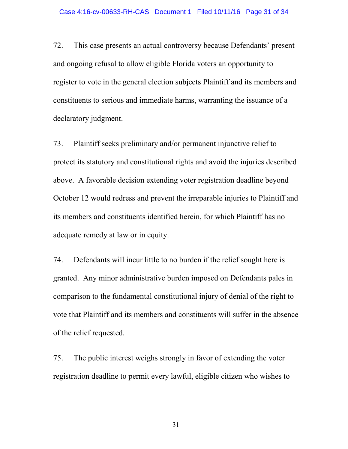72. This case presents an actual controversy because Defendants' present and ongoing refusal to allow eligible Florida voters an opportunity to register to vote in the general election subjects Plaintiff and its members and constituents to serious and immediate harms, warranting the issuance of a declaratory judgment.

73. Plaintiff seeks preliminary and/or permanent injunctive relief to protect its statutory and constitutional rights and avoid the injuries described above. A favorable decision extending voter registration deadline beyond October 12 would redress and prevent the irreparable injuries to Plaintiff and its members and constituents identified herein, for which Plaintiff has no adequate remedy at law or in equity.

74. Defendants will incur little to no burden if the relief sought here is granted. Any minor administrative burden imposed on Defendants pales in comparison to the fundamental constitutional injury of denial of the right to vote that Plaintiff and its members and constituents will suffer in the absence of the relief requested.

75. The public interest weighs strongly in favor of extending the voter registration deadline to permit every lawful, eligible citizen who wishes to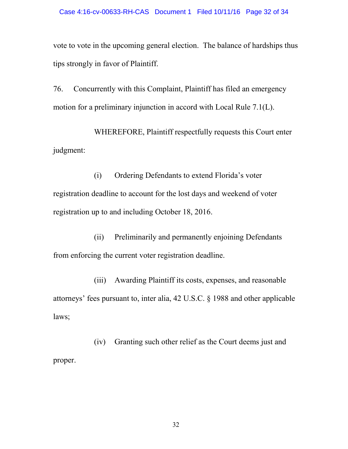vote to vote in the upcoming general election. The balance of hardships thus tips strongly in favor of Plaintiff.

76. Concurrently with this Complaint, Plaintiff has filed an emergency motion for a preliminary injunction in accord with Local Rule 7.1(L).

WHEREFORE, Plaintiff respectfully requests this Court enter judgment:

(i) Ordering Defendants to extend Florida's voter registration deadline to account for the lost days and weekend of voter registration up to and including October 18, 2016.

(ii) Preliminarily and permanently enjoining Defendants from enforcing the current voter registration deadline.

(iii) Awarding Plaintiff its costs, expenses, and reasonable attorneys' fees pursuant to, inter alia, 42 U.S.C. § 1988 and other applicable laws;

(iv) Granting such other relief as the Court deems just and proper.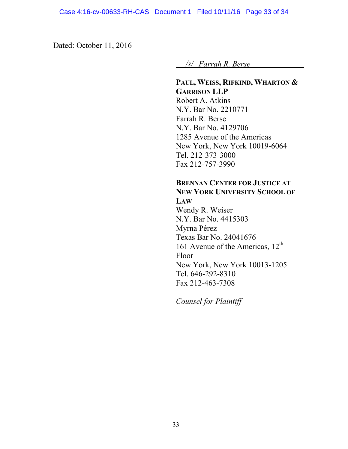Dated: October 11, 2016

*/s/ Farrah R. Berse*

**PAUL, WEISS, RIFKIND, WHARTON & GARRISON LLP** Robert A. Atkins N.Y. Bar No. 2210771 Farrah R. Berse N.Y. Bar No. 4129706 1285 Avenue of the Americas New York, New York 10019-6064 Tel. 212-373-3000 Fax 212-757-3990

**BRENNAN CENTER FOR JUSTICE AT NEW YORK UNIVERSITY SCHOOL OF LAW**

Wendy R. Weiser N.Y. Bar No. 4415303 Myrna Pérez Texas Bar No. 24041676 161 Avenue of the Americas,  $12<sup>th</sup>$ Floor New York, New York 10013-1205 Tel. 646-292-8310 Fax 212-463-7308

*Counsel for Plaintiff*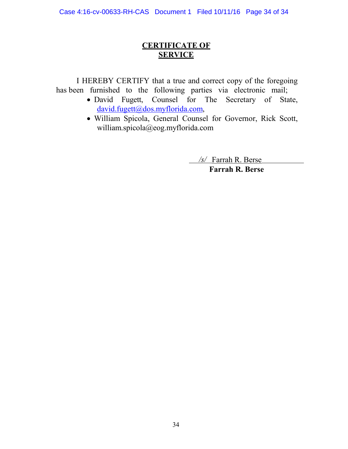# **CERTIFICATE OF SERVICE**

I HEREBY CERTIFY that a true and correct copy of the foregoing has been furnished to the following parties via electronic mail;

- David Fugett, Counsel for The Secretary of State, david.fugett@dos.myflorida.com,
- William Spicola, General Counsel for Governor, Rick Scott, william.spicola@eog.myflorida.com

*/s/* Farrah R. Berse **Farrah R. Berse**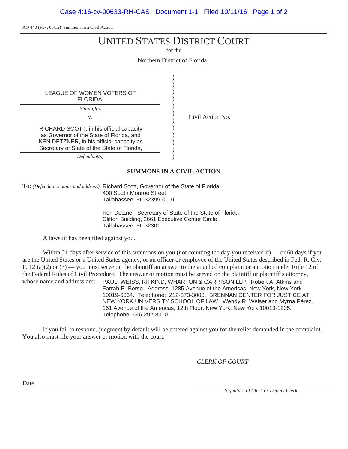AO 440 (Rev. 06/12) Summons in a Civil Action

# UNITED STATES DISTRICT COURT

for the

Northern District of Florida

| LEAGUE OF WOMEN VOTERS OF<br>FLORIDA,                                                                                                                                          |                  |
|--------------------------------------------------------------------------------------------------------------------------------------------------------------------------------|------------------|
| Plaintiff(s)<br>v.                                                                                                                                                             | Civil Action No. |
| RICHARD SCOTT, in his official capacity<br>as Governor of the State of Florida, and<br>KEN DETZNER, in his official capacity as<br>Secretary of State of the State of Florida, |                  |
| Defendant(s)                                                                                                                                                                   |                  |

#### **SUMMONS IN A CIVIL ACTION**

To: *(Defendant's name and address)* Richard Scott, Governor of the State of Florida 400 South Monroe Street Tallahassee, FL 32399-0001

> Ken Detzner, Secretary of State of the State of Florida Clifton Building, 2661 Executive Center Circle Tallahassee, FL 32301

A lawsuit has been filed against you.

Within 21 days after service of this summons on you (not counting the day you received it) — or 60 days if you are the United States or a United States agency, or an officer or employee of the United States described in Fed. R. Civ. P. 12 (a)(2) or (3) — you must serve on the plaintiff an answer to the attached complaint or a motion under Rule 12 of the Federal Rules of Civil Procedure. The answer or motion must be served on the plaintiff or plaintiff's attorney, whose name and address are: PAUL, WEISS, RIFKIND, WHARTON & GARRISON LLP. Robert A. Atkins and Farrah R. Berse. Address: 1285 Avenue of the Americas, New York, New York 10019-6064. Telephone: 212-373-3000. BRENNAN CENTER FOR JUSTICE AT NEW YORK UNIVERSITY SCHOOL OF LAW. Wendy R. Weiser and Myrna Pérez. 161 Avenue of the Americas, 12th Floor, New York, New York 10013-1205. Telephone: 646-292-8310.

If you fail to respond, judgment by default will be entered against you for the relief demanded in the complaint. You also must file your answer or motion with the court.

*CLERK OF COURT*

Date:

*Signature of Clerk or Deputy Clerk*